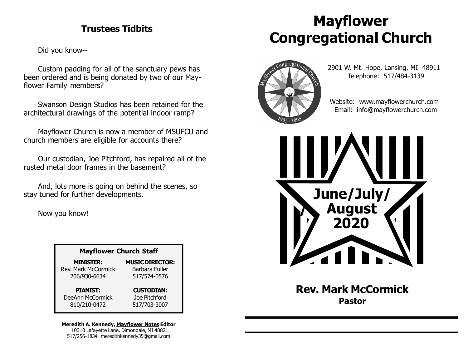### Trustees Tidbits

Did you know--

Custom padding for all of the sanctuary pews has been ordered and is being donated by two of our Mayflower Family members?

Swanson Design Studios has been retained for the architectural drawings of the potential indoor ramp?

Mayflower Church is now a member of MSUFCU and church members are eligible for accounts there?

Our custodian, Joe Pitchford, has repaired all of the rusted metal door frames in the basement?

And, lots more is going on behind the scenes, so stay tuned for further developments.

Now you know!

| <b>Mayflower Church Staff</b> |                        |
|-------------------------------|------------------------|
| <b>MINISTER:</b>              | <b>MUSIC DIRECTOR:</b> |
| <b>Rev. Mark McCormick</b>    | Barbara Fuller         |
| 206/930-6634                  | 517/574-0576           |
| <b>PIANIST:</b>               | <b>CUSTODIAN:</b>      |
| DeeAnn McCormick              | Joe Pitchford          |
| 810/210-0472                  | 517/703-3007           |

Meredith A. Kennedy, Mayflower Notes Editor 10310 Lafayette Lane, Dimondale, MI 48821 517/256-1834 meredithkennedy35@gmail.com

# Mayflower Congregational Church



 2901 W. Mt. Hope, Lansing, MI 48911 Telephone: 517/484-3139

 Website: www.mayflowerchurch.com Email: info@mayflowerchurch.com



Rev. Mark McCormick Pastor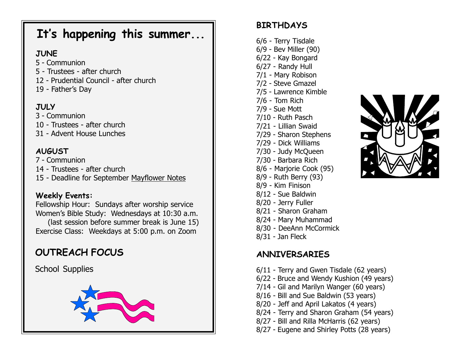# It's happening this summer...

### **JUNE**

- 5 Communion
- 5 Trustees after church
- 12 Prudential Council after church
- 19 Father's Day

## **JULY**

- 3 Communion
- 10 Trustees after church
- 31 Advent House Lunches

# AUGUST

- 7 Communion
- 14 Trustees after church
- 15 Deadline for September Mayflower Notes

### Weekly Events:

Fellowship Hour: Sundays after worship service Women's Bible Study: Wednesdays at 10:30 a.m. (last session before summer break is June 15) Exercise Class: Weekdays at 5:00 p.m. on Zoom

# OUTREACH FOCUS

School Supplies



# **BIRTHDAYS**

6/6 - Terry Tisdale 6/9 - Bev Miller (90) 6/22 - Kay Bongard 6/27 - Randy Hull 7/1 - Mary Robison 7/2 - Steve Gmazel 7/5 - Lawrence Kimble 7/6 - Tom Rich 7/9 - Sue Mott 7/10 - Ruth Pasch 7/21 - Lillian Swaid 7/29 - Sharon Stephens 7/29 - Dick Williams 7/30 - Judy McQueen 7/30 - Barbara Rich 8/6 - Marjorie Cook (95) 8/9 - Ruth Berry (93)

- 8/9 Kim Finison
- 8/12 Sue Baldwin
- 8/20 Jerry Fuller
- 8/21 Sharon Graham
- 8/24 Mary Muhammad
- 8/30 DeeAnn McCormick
- 8/31 Jan Fleck

# ANNIVERSARIES

- 6/11 Terry and Gwen Tisdale (62 years)
- 6/22 Bruce and Wendy Kushion (49 years)
- 7/14 Gil and Marilyn Wanger (60 years)
- 8/16 Bill and Sue Baldwin (53 years)
- 8/20 Jeff and April Lakatos (4 years)
- 8/24 Terry and Sharon Graham (54 years)
- 8/27 Bill and Rilla McHarris (62 years)
- 8/27 Eugene and Shirley Potts (28 years)

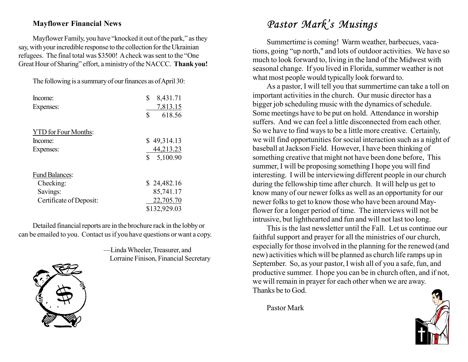#### Mayflower Financial News

Mayflower Family, you have "knocked it out of the park," as they say, with your incredible response to the collection for the Ukrainian refugees. The final total was \$3500! A check was sent to the "One Great Hour of Sharing" effort, a ministry of the NACCC. Thank you!

The following is a summary of our finances as of April 30:

| Income:                     | \$<br>8,431.71 |
|-----------------------------|----------------|
| Expenses:                   | 7,813.15       |
|                             | \$<br>618.56   |
| <b>YTD</b> for Four Months: |                |
| Income:                     | \$49,314.13    |
| Expenses:                   | 44,213.23      |
|                             | \$<br>5,100.90 |
| <b>Fund Balances:</b>       |                |
| Checking:                   | \$24,482.16    |
| Savings:                    | 85,741.17      |
| Certificate of Deposit:     | 22,705.70      |
|                             | \$132,929.03   |

Detailed financial reports are in the brochure rack in the lobby or can be emailed to you. Contact us if you have questions or want a copy.

> —Linda Wheeler, Treasurer, and Lorraine Finison, Financial Secretary



# Pastor Mark's Musings

Summertime is coming! Warm weather, barbecues, vacations, going "up north," and lots of outdoor activities. We have so much to look forward to, living in the land of the Midwest with seasonal change. If you lived in Florida, summer weather is not what most people would typically look forward to.

As a pastor, I will tell you that summertime can take a toll on important activities in the church. Our music director has a bigger job scheduling music with the dynamics of schedule. Some meetings have to be put on hold. Attendance in worship suffers. And we can feel a little disconnected from each other. So we have to find ways to be a little more creative. Certainly, we will find opportunities for social interaction such as a night of baseball at Jackson Field. However, I have been thinking of something creative that might not have been done before, This summer, I will be proposing something I hope you will find interesting. I will be interviewing different people in our church during the fellowship time after church. It will help us get to know many of our newer folks as well as an opportunity for our newer folks to get to know those who have been around Mayflower for a longer period of time. The interviews will not be intrusive, but lighthearted and fun and will not last too long.

This is the last newsletter until the Fall. Let us continue our faithful support and prayer for all the ministries of our church, especially for those involved in the planning for the renewed (and new) activities which will be planned as church life ramps up in September. So, as your pastor, I wish all of you a safe, fun, and productive summer. I hope you can be in church often, and if not, we will remain in prayer for each other when we are away. Thanks be to God.

Pastor Mark